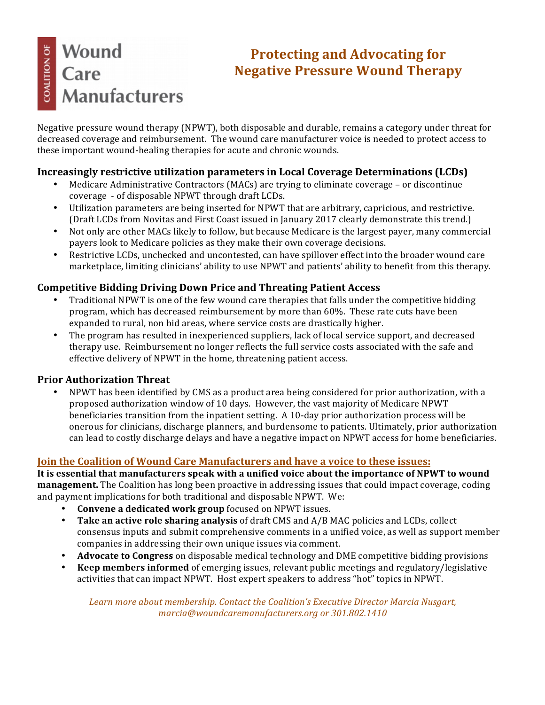## Wound **COALITION OF** Care **Manufacturers**

### **Protecting and Advocating for Negative Pressure Wound Therapy**

Negative pressure wound therapy (NPWT), both disposable and durable, remains a category under threat for decreased coverage and reimbursement. The wound care manufacturer voice is needed to protect access to these important wound-healing therapies for acute and chronic wounds.

#### **Increasingly restrictive utilization parameters in Local Coverage Determinations (LCDs)**

- Medicare Administrative Contractors (MACs) are trying to eliminate coverage or discontinue coverage - of disposable NPWT through draft LCDs.
- Utilization parameters are being inserted for NPWT that are arbitrary, capricious, and restrictive. (Draft LCDs from Novitas and First Coast issued in January 2017 clearly demonstrate this trend.)
- Not only are other MACs likely to follow, but because Medicare is the largest payer, many commercial payers look to Medicare policies as they make their own coverage decisions.
- Restrictive LCDs, unchecked and uncontested, can have spillover effect into the broader wound care marketplace, limiting clinicians' ability to use NPWT and patients' ability to benefit from this therapy.

#### **Competitive Bidding Driving Down Price and Threating Patient Access**

- Traditional NPWT is one of the few wound care therapies that falls under the competitive bidding program, which has decreased reimbursement by more than 60%. These rate cuts have been expanded to rural, non bid areas, where service costs are drastically higher.
- The program has resulted in inexperienced suppliers, lack of local service support, and decreased therapy use. Reimbursement no longer reflects the full service costs associated with the safe and effective delivery of NPWT in the home, threatening patient access.

#### **Prior Authorization Threat**

• NPWT has been identified by CMS as a product area being considered for prior authorization, with a proposed authorization window of 10 days. However, the vast majority of Medicare NPWT beneficiaries transition from the inpatient setting. A 10-day prior authorization process will be onerous for clinicians, discharge planners, and burdensome to patients. Ultimately, prior authorization can lead to costly discharge delays and have a negative impact on NPWT access for home beneficiaries.

#### **Join the Coalition of Wound Care Manufacturers and have a voice to these issues:**

It is essential that manufacturers speak with a unified voice about the importance of NPWT to wound **management.** The Coalition has long been proactive in addressing issues that could impact coverage, coding and payment implications for both traditional and disposable NPWT. We:

- **Convene a dedicated work group** focused on NPWT issues.
- **Take an active role sharing analysis** of draft CMS and A/B MAC policies and LCDs, collect consensus inputs and submit comprehensive comments in a unified voice, as well as support member companies in addressing their own unique issues via comment.
- **Advocate to Congress** on disposable medical technology and DME competitive bidding provisions
- **Keep members informed** of emerging issues, relevant public meetings and regulatory/legislative activities that can impact NPWT. Host expert speakers to address "hot" topics in NPWT.

Learn more about membership. Contact the Coalition's Executive Director Marcia Nusgart, *marcia@woundcaremanufacturers.org or 301.802.1410*